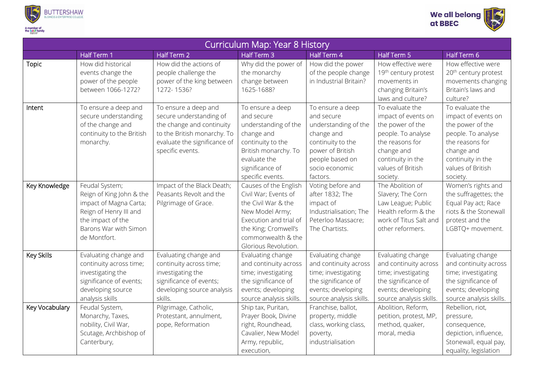



| Curriculum Map: Year 8 History |                                                                                                                                                              |                                                                                                                                                                 |                                                                                                                                                                                         |                                                                                                                                                                |                                                                                                                                                                         |                                                                                                                                                                         |  |  |
|--------------------------------|--------------------------------------------------------------------------------------------------------------------------------------------------------------|-----------------------------------------------------------------------------------------------------------------------------------------------------------------|-----------------------------------------------------------------------------------------------------------------------------------------------------------------------------------------|----------------------------------------------------------------------------------------------------------------------------------------------------------------|-------------------------------------------------------------------------------------------------------------------------------------------------------------------------|-------------------------------------------------------------------------------------------------------------------------------------------------------------------------|--|--|
|                                | Half Term 1                                                                                                                                                  | Half Term 2                                                                                                                                                     | Half Term 3                                                                                                                                                                             | Half Term 4                                                                                                                                                    | <b>Half Term 5</b>                                                                                                                                                      | Half Term 6                                                                                                                                                             |  |  |
| <b>Topic</b>                   | How did historical<br>events change the<br>power of the people<br>between 1066-1272?                                                                         | How did the actions of<br>people challenge the<br>power of the king between<br>1272-1536?                                                                       | Why did the power of<br>the monarchy<br>change between<br>1625-1688?                                                                                                                    | How did the power<br>of the people change<br>in Industrial Britain?                                                                                            | How effective were<br>19 <sup>th</sup> century protest<br>movements in<br>changing Britain's<br>laws and culture?                                                       | How effective were<br>20 <sup>th</sup> century protest<br>movements changing<br>Britain's laws and<br>culture?                                                          |  |  |
| Intent                         | To ensure a deep and<br>secure understanding<br>of the change and<br>continuity to the British<br>monarchy.                                                  | To ensure a deep and<br>secure understanding of<br>the change and continuity<br>to the British monarchy. To<br>evaluate the significance of<br>specific events. | To ensure a deep<br>and secure<br>understanding of the<br>change and<br>continuity to the<br>British monarchy. To<br>evaluate the<br>significance of<br>specific events.                | To ensure a deep<br>and secure<br>understanding of the<br>change and<br>continuity to the<br>power of British<br>people based on<br>socio economic<br>factors. | To evaluate the<br>impact of events on<br>the power of the<br>people. To analyse<br>the reasons for<br>change and<br>continuity in the<br>values of British<br>society. | To evaluate the<br>impact of events on<br>the power of the<br>people. To analyse<br>the reasons for<br>change and<br>continuity in the<br>values of British<br>society. |  |  |
| Key Knowledge                  | Feudal System;<br>Reign of King John & the<br>impact of Magna Carta;<br>Reign of Henry III and<br>the impact of the<br>Barons War with Simon<br>de Montfort. | Impact of the Black Death;<br>Peasants Revolt and the<br>Pilgrimage of Grace.                                                                                   | Causes of the English<br>Civil War; Events of<br>the Civil War & the<br>New Model Army;<br>Execution and trial of<br>the King; Cromwell's<br>commonwealth & the<br>Glorious Revolution. | Voting before and<br>after 1832; The<br>impact of<br>Industrialisation; The<br>Peterloo Massacre;<br>The Chartists.                                            | The Abolition of<br>Slavery; The Corn<br>Law League; Public<br>Health reform & the<br>work of Titus Salt and<br>other reformers.                                        | Women's rights and<br>the suffragettes; the<br>Equal Pay act; Race<br>riots & the Stonewall<br>protest and the<br>LGBTQ+ movement.                                      |  |  |
| Key Skills                     | Evaluating change and<br>continuity across time;<br>investigating the<br>significance of events;<br>developing source<br>analysis skills                     | Evaluating change and<br>continuity across time;<br>investigating the<br>significance of events;<br>developing source analysis<br>skills.                       | Evaluating change<br>and continuity across<br>time; investigating<br>the significance of<br>events; developing<br>source analysis skills.                                               | Evaluating change<br>and continuity across<br>time; investigating<br>the significance of<br>events; developing<br>source analysis skills.                      | Evaluating change<br>and continuity across<br>time; investigating<br>the significance of<br>events; developing<br>source analysis skills.                               | Evaluating change<br>and continuity across<br>time; investigating<br>the significance of<br>events; developing<br>source analysis skills.                               |  |  |
| Key Vocabulary                 | Feudal System,<br>Monarchy, Taxes,<br>nobility, Civil War,<br>Scutage, Archbishop of<br>Canterbury,                                                          | Pilgrimage, Catholic,<br>Protestant, annulment,<br>pope, Reformation                                                                                            | Ship tax, Puritan,<br>Prayer Book, Divine<br>right, Roundhead,<br>Cavalier, New Model<br>Army, republic,<br>execution,                                                                  | Franchise, ballot,<br>property, middle<br>class, working class,<br>poverty,<br>industrialisation                                                               | Abolition, Reform,<br>petition, protest, MP,<br>method, quaker,<br>moral, media                                                                                         | Rebellion, riot,<br>pressure,<br>consequence,<br>depiction, influence,<br>Stonewall, equal pay,<br>equality, legislation                                                |  |  |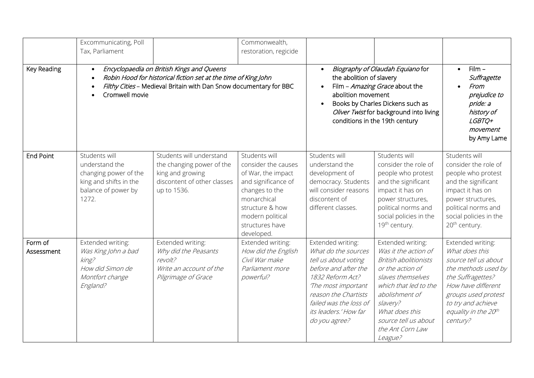|                       | Excommunicating, Poll<br>Tax, Parliament                                                                                                                                                                         |                                                                                                                         | Commonwealth,<br>restoration, regicide                                                                                                                                                     |                                                                                                                                                                                                                                       |                                                                                                                                                                                                                                                    |                                                                                                                                                                                                                |
|-----------------------|------------------------------------------------------------------------------------------------------------------------------------------------------------------------------------------------------------------|-------------------------------------------------------------------------------------------------------------------------|--------------------------------------------------------------------------------------------------------------------------------------------------------------------------------------------|---------------------------------------------------------------------------------------------------------------------------------------------------------------------------------------------------------------------------------------|----------------------------------------------------------------------------------------------------------------------------------------------------------------------------------------------------------------------------------------------------|----------------------------------------------------------------------------------------------------------------------------------------------------------------------------------------------------------------|
| <b>Key Reading</b>    | Encyclopaedia on British Kings and Queens<br>$\bullet$<br>Robin Hood for historical fiction set at the time of King John<br>Filthy Cities - Medieval Britain with Dan Snow documentary for BBC<br>Cromwell movie |                                                                                                                         |                                                                                                                                                                                            | Biography of Olaudah Equiano for<br>the abolition of slavery<br>Film - Amazing Grace about the<br>abolition movement<br>Books by Charles Dickens such as<br>Oliver Twist for background into living<br>conditions in the 19th century |                                                                                                                                                                                                                                                    | $Film -$<br>Suffragette<br>From<br>prejudice to<br>pride: a<br>history of<br>LGBTQ+<br>movement<br>by Amy Lame                                                                                                 |
| <b>End Point</b>      | Students will<br>understand the<br>changing power of the<br>king and shifts in the<br>balance of power by<br>1272.                                                                                               | Students will understand<br>the changing power of the<br>king and growing<br>discontent of other classes<br>up to 1536. | Students will<br>consider the causes<br>of War, the impact<br>and significance of<br>changes to the<br>monarchical<br>structure & how<br>modern political<br>structures have<br>developed. | Students will<br>understand the<br>development of<br>democracy. Students<br>will consider reasons<br>discontent of<br>different classes.                                                                                              | Students will<br>consider the role of<br>people who protest<br>and the significant<br>impact it has on<br>power structures,<br>political norms and<br>social policies in the<br>19th century.                                                      | Students will<br>consider the role of<br>people who protest<br>and the significant<br>impact it has on<br>power structures,<br>political norms and<br>social policies in the<br>20 <sup>th</sup> century.      |
| Form of<br>Assessment | Extended writing:<br>Was King John a bad<br>king?<br>How did Simon de<br>Montfort change<br>England?                                                                                                             | Extended writing:<br>Why did the Peasants<br>revolt?<br>Write an account of the<br>Pilgrimage of Grace                  | Extended writing:<br>How did the English<br>Civil War make<br>Parliament more<br>powerful?                                                                                                 | Extended writing:<br>What do the sources<br>tell us about voting<br>before and after the<br>1832 Reform Act?<br>The most important<br>reason the Chartists<br>failed was the loss of<br>its leaders.' How far<br>do you agree?        | Extended writing:<br>Was it the action of<br><b>British abolitionists</b><br>or the action of<br>slaves themselves<br>which that led to the<br>abolishment of<br>slavery?<br>What does this<br>source tell us about<br>the Ant Corn Law<br>League? | Extended writing:<br>What does this<br>source tell us about<br>the methods used by<br>the Suffragettes?<br>How have different<br>groups used protest<br>to try and achieve<br>equality in the 20th<br>century? |